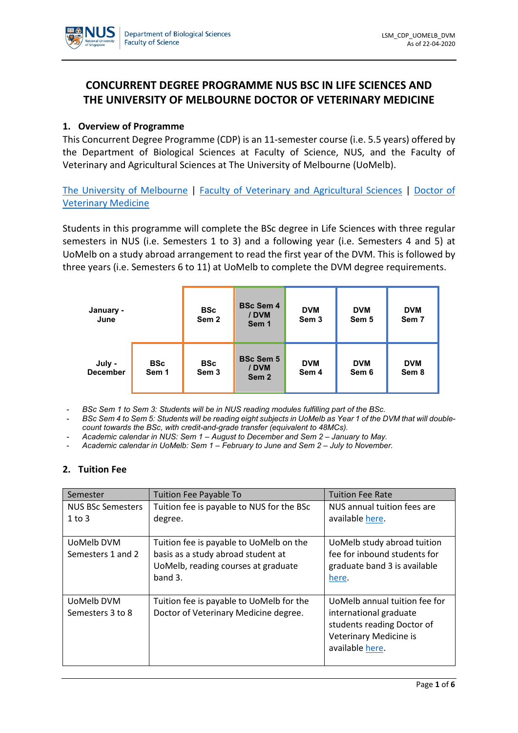# **CONCURRENT DEGREE PROGRAMME NUS BSC IN LIFE SCIENCES AND THE UNIVERSITY OF MELBOURNE DOCTOR OF VETERINARY MEDICINE**

### **1. Overview of Programme**

This Concurrent Degree Programme (CDP) is an 11-semester course (i.e. 5.5 years) offered by the Department of Biological Sciences at Faculty of Science, NUS, and the Faculty of Veterinary and Agricultural Sciences at The University of Melbourne (UoMelb).

[The University of Melbourne](http://www.unimelb.edu.au/) | [Faculty of Veterinary and Agricultural Sciences](https://fvas.unimelb.edu.au/) | [Doctor of](https://study.unimelb.edu.au/find/courses/graduate/doctor-of-veterinary-medicine/)  [Veterinary Medicine](https://study.unimelb.edu.au/find/courses/graduate/doctor-of-veterinary-medicine/)

Students in this programme will complete the BSc degree in Life Sciences with three regular semesters in NUS (i.e. Semesters 1 to 3) and a following year (i.e. Semesters 4 and 5) at UoMelb on a study abroad arrangement to read the first year of the DVM. This is followed by three years (i.e. Semesters 6 to 11) at UoMelb to complete the DVM degree requirements.

| January -<br>June         |                     | <b>BSc</b><br>Sem <sub>2</sub> | <b>BSc Sem 4</b><br>/ DVM<br>Sem 1            | <b>DVM</b><br>Sem <sub>3</sub> | <b>DVM</b><br>Sem 5 | <b>DVM</b><br>Sem 7 |
|---------------------------|---------------------|--------------------------------|-----------------------------------------------|--------------------------------|---------------------|---------------------|
| July -<br><b>December</b> | <b>BSc</b><br>Sem 1 | <b>BSc</b><br>Sem <sub>3</sub> | <b>BSc Sem 5</b><br>/ DVM<br>Sem <sub>2</sub> | <b>DVM</b><br>Sem 4            | <b>DVM</b><br>Sem 6 | <b>DVM</b><br>Sem 8 |

- *BSc Sem 1 to Sem 3: Students will be in NUS reading modules fulfilling part of the BSc.*
- *BSc Sem 4 to Sem 5: Students will be reading eight subjects in UoMelb as Year 1 of the DVM that will doublecount towards the BSc, with credit-and-grade transfer (equivalent to 48MCs).*
- *Academic calendar in NUS: Sem 1 – August to December and Sem 2 – January to May.*
- *Academic calendar in UoMelb: Sem 1 – February to June and Sem 2 – July to November.*

#### **2. Tuition Fee**

| Semester                               | <b>Tuition Fee Payable To</b>                                                                                                      | <b>Tuition Fee Rate</b>                                                                                                            |
|----------------------------------------|------------------------------------------------------------------------------------------------------------------------------------|------------------------------------------------------------------------------------------------------------------------------------|
| <b>NUS BSc Semesters</b><br>$1$ to $3$ | Tuition fee is payable to NUS for the BSc<br>degree.                                                                               | NUS annual tuition fees are<br>available here.                                                                                     |
| UoMelb DVM<br>Semesters 1 and 2        | Tuition fee is payable to UoMelb on the<br>basis as a study abroad student at<br>UoMelb, reading courses at graduate<br>band $3$ . | UoMelb study abroad tuition<br>fee for inbound students for<br>graduate band 3 is available<br>here.                               |
| UoMelb DVM<br>Semesters 3 to 8         | Tuition fee is payable to UoMelb for the<br>Doctor of Veterinary Medicine degree.                                                  | UoMelb annual tuition fee for<br>international graduate<br>students reading Doctor of<br>Veterinary Medicine is<br>available here. |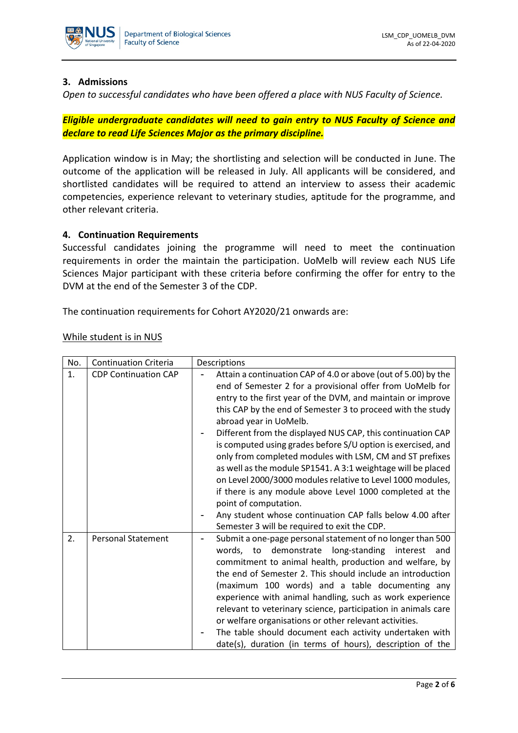

#### **3. Admissions**

*Open to successful candidates who have been offered a place with NUS Faculty of Science.*

*Eligible undergraduate candidates will need to gain entry to NUS Faculty of Science and declare to read Life Sciences Major as the primary discipline.*

Application window is in May; the shortlisting and selection will be conducted in June. The outcome of the application will be released in July. All applicants will be considered, and shortlisted candidates will be required to attend an interview to assess their academic competencies, experience relevant to veterinary studies, aptitude for the programme, and other relevant criteria.

#### **4. Continuation Requirements**

Successful candidates joining the programme will need to meet the continuation requirements in order the maintain the participation. UoMelb will review each NUS Life Sciences Major participant with these criteria before confirming the offer for entry to the DVM at the end of the Semester 3 of the CDP.

The continuation requirements for Cohort AY2020/21 onwards are:

| While student is in NUS |  |
|-------------------------|--|
|                         |  |

| No. | <b>Continuation Criteria</b> | Descriptions                                                                                                                                                                                                                                                                                                                                                                                                                                                                                                                                                                                                                                                                                                                                                   |  |
|-----|------------------------------|----------------------------------------------------------------------------------------------------------------------------------------------------------------------------------------------------------------------------------------------------------------------------------------------------------------------------------------------------------------------------------------------------------------------------------------------------------------------------------------------------------------------------------------------------------------------------------------------------------------------------------------------------------------------------------------------------------------------------------------------------------------|--|
| 1.  | <b>CDP Continuation CAP</b>  | Attain a continuation CAP of 4.0 or above (out of 5.00) by the<br>end of Semester 2 for a provisional offer from UoMelb for<br>entry to the first year of the DVM, and maintain or improve<br>this CAP by the end of Semester 3 to proceed with the study<br>abroad year in UoMelb.<br>Different from the displayed NUS CAP, this continuation CAP<br>is computed using grades before S/U option is exercised, and<br>only from completed modules with LSM, CM and ST prefixes<br>as well as the module SP1541. A 3:1 weightage will be placed<br>on Level 2000/3000 modules relative to Level 1000 modules,<br>if there is any module above Level 1000 completed at the<br>point of computation.<br>Any student whose continuation CAP falls below 4.00 after |  |
|     |                              | Semester 3 will be required to exit the CDP.                                                                                                                                                                                                                                                                                                                                                                                                                                                                                                                                                                                                                                                                                                                   |  |
| 2.  | <b>Personal Statement</b>    | Submit a one-page personal statement of no longer than 500<br>words, to demonstrate long-standing<br>interest<br>and<br>commitment to animal health, production and welfare, by<br>the end of Semester 2. This should include an introduction<br>(maximum 100 words) and a table documenting any<br>experience with animal handling, such as work experience<br>relevant to veterinary science, participation in animals care<br>or welfare organisations or other relevant activities.<br>The table should document each activity undertaken with<br>date(s), duration (in terms of hours), description of the                                                                                                                                                |  |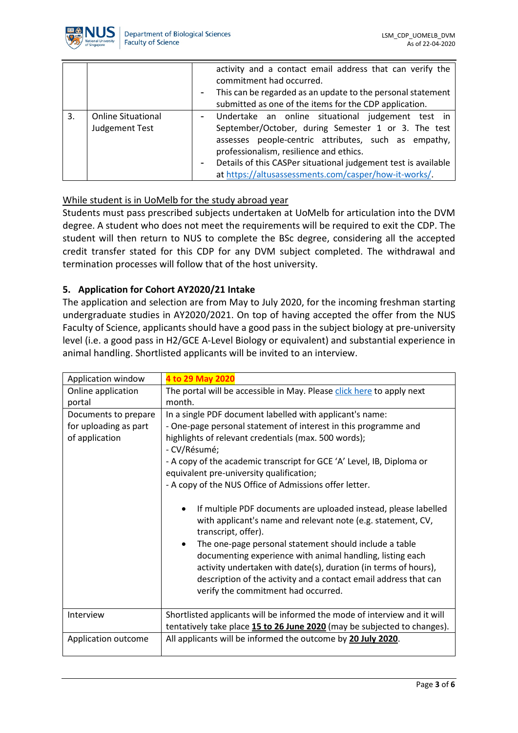

|    |                                                       | activity and a contact email address that can verify the<br>commitment had occurred. |  |  |
|----|-------------------------------------------------------|--------------------------------------------------------------------------------------|--|--|
|    |                                                       | - This can be regarded as an update to the personal statement                        |  |  |
|    |                                                       | submitted as one of the items for the CDP application.                               |  |  |
| 3. | <b>Online Situational</b>                             | - Undertake an online situational judgement test in                                  |  |  |
|    | <b>Judgement Test</b>                                 | September/October, during Semester 1 or 3. The test                                  |  |  |
|    |                                                       | assesses people-centric attributes, such as empathy,                                 |  |  |
|    |                                                       | professionalism, resilience and ethics.                                              |  |  |
|    |                                                       | - Details of this CASPer situational judgement test is available                     |  |  |
|    | at https://altusassessments.com/casper/how-it-works/. |                                                                                      |  |  |

### While student is in UoMelb for the study abroad year

Students must pass prescribed subjects undertaken at UoMelb for articulation into the DVM degree. A student who does not meet the requirements will be required to exit the CDP. The student will then return to NUS to complete the BSc degree, considering all the accepted credit transfer stated for this CDP for any DVM subject completed. The withdrawal and termination processes will follow that of the host university.

### **5. Application for Cohort AY2020/21 Intake**

The application and selection are from May to July 2020, for the incoming freshman starting undergraduate studies in AY2020/2021. On top of having accepted the offer from the NUS Faculty of Science, applicants should have a good pass in the subject biology at pre-university level (i.e. a good pass in H2/GCE A-Level Biology or equivalent) and substantial experience in animal handling. Shortlisted applicants will be invited to an interview.

| Application window    | 4 to 29 May 2020                                                                                                                                                                                                                                                                                                                                                                                                                                            |  |  |
|-----------------------|-------------------------------------------------------------------------------------------------------------------------------------------------------------------------------------------------------------------------------------------------------------------------------------------------------------------------------------------------------------------------------------------------------------------------------------------------------------|--|--|
| Online application    | The portal will be accessible in May. Please click here to apply next                                                                                                                                                                                                                                                                                                                                                                                       |  |  |
| portal                | month.                                                                                                                                                                                                                                                                                                                                                                                                                                                      |  |  |
| Documents to prepare  | In a single PDF document labelled with applicant's name:                                                                                                                                                                                                                                                                                                                                                                                                    |  |  |
| for uploading as part | - One-page personal statement of interest in this programme and                                                                                                                                                                                                                                                                                                                                                                                             |  |  |
| of application        | highlights of relevant credentials (max. 500 words);                                                                                                                                                                                                                                                                                                                                                                                                        |  |  |
|                       | - CV/Résumé;                                                                                                                                                                                                                                                                                                                                                                                                                                                |  |  |
|                       | - A copy of the academic transcript for GCE 'A' Level, IB, Diploma or                                                                                                                                                                                                                                                                                                                                                                                       |  |  |
|                       | equivalent pre-university qualification;                                                                                                                                                                                                                                                                                                                                                                                                                    |  |  |
|                       | - A copy of the NUS Office of Admissions offer letter.                                                                                                                                                                                                                                                                                                                                                                                                      |  |  |
|                       | If multiple PDF documents are uploaded instead, please labelled<br>with applicant's name and relevant note (e.g. statement, CV,<br>transcript, offer).<br>The one-page personal statement should include a table<br>documenting experience with animal handling, listing each<br>activity undertaken with date(s), duration (in terms of hours),<br>description of the activity and a contact email address that can<br>verify the commitment had occurred. |  |  |
| Interview             | Shortlisted applicants will be informed the mode of interview and it will<br>tentatively take place 15 to 26 June 2020 (may be subjected to changes).                                                                                                                                                                                                                                                                                                       |  |  |
| Application outcome   | All applicants will be informed the outcome by 20 July 2020.                                                                                                                                                                                                                                                                                                                                                                                                |  |  |
|                       |                                                                                                                                                                                                                                                                                                                                                                                                                                                             |  |  |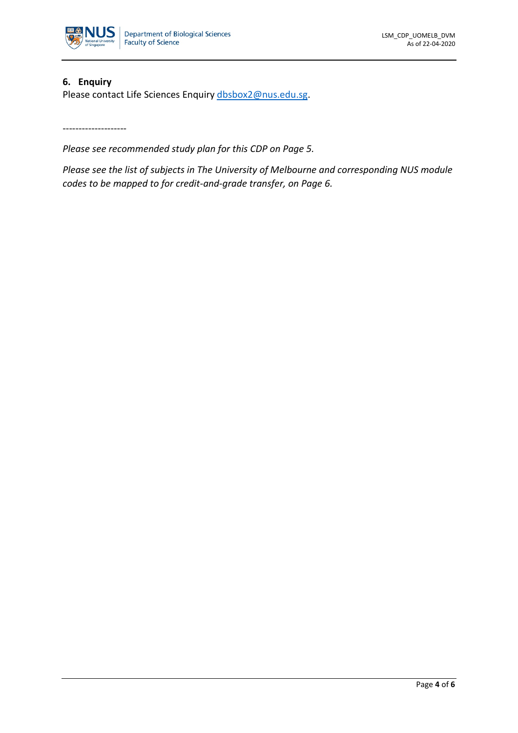

#### **6. Enquiry**

Please contact Life Sciences Enquiry [dbsbox2@nus.edu.sg.](mailto:dbsbox2@nus.edu.sg)

--------------------

*Please see recommended study plan for this CDP on Page 5.*

*Please see the list of subjects in The University of Melbourne and corresponding NUS module codes to be mapped to for credit-and-grade transfer, on Page 6.*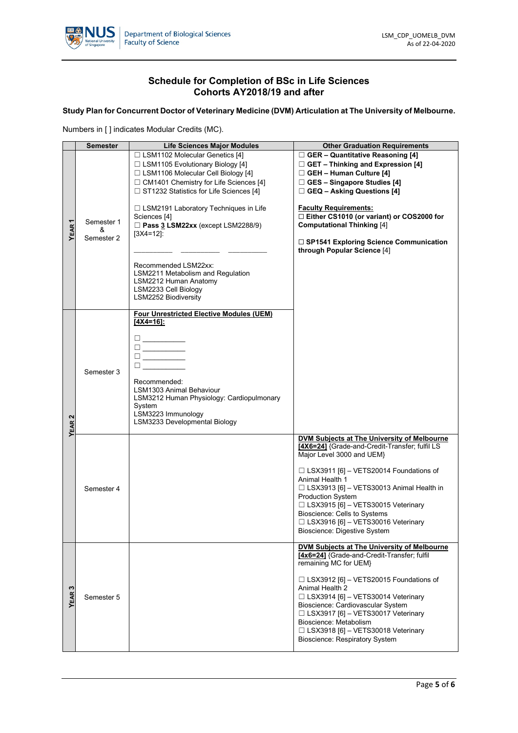

#### **Schedule for Completion of BSc in Life Sciences Cohorts AY2018/19 and after**

**Study Plan for Concurrent Doctor of Veterinary Medicine (DVM) Articulation at The University of Melbourne.**

Numbers in [ ] indicates Modular Credits (MC).

|                   | <b>Semester</b>               | <b>Life Sciences Major Modules</b>                                                                                                                                                                                                                                                                                                                                                                                                                                           | <b>Other Graduation Requirements</b>                                                                                                                                                                                                                                                                                                                                                                                          |
|-------------------|-------------------------------|------------------------------------------------------------------------------------------------------------------------------------------------------------------------------------------------------------------------------------------------------------------------------------------------------------------------------------------------------------------------------------------------------------------------------------------------------------------------------|-------------------------------------------------------------------------------------------------------------------------------------------------------------------------------------------------------------------------------------------------------------------------------------------------------------------------------------------------------------------------------------------------------------------------------|
| ᠇<br><b>YEAR</b>  | Semester 1<br>&<br>Semester 2 | □ LSM1102 Molecular Genetics [4]<br>$\Box$ LSM1105 Evolutionary Biology [4]<br>$\Box$ LSM1106 Molecular Cell Biology [4]<br>$\Box$ CM1401 Chemistry for Life Sciences [4]<br>□ ST1232 Statistics for Life Sciences [4]<br>□ LSM2191 Laboratory Techniques in Life<br>Sciences [4]<br>Pass 3 LSM22xx (except LSM2288/9)<br>$[3X4=12]$ :<br>Recommended LSM22xx:<br>LSM2211 Metabolism and Regulation<br>LSM2212 Human Anatomy<br>LSM2233 Cell Biology<br>LSM2252 Biodiversity | $\Box$ GER - Quantitative Reasoning [4]<br>$\Box$ GET – Thinking and Expression [4]<br>$\Box$ GEH - Human Culture [4]<br>$\Box$ GES - Singapore Studies [4]<br>$\Box$ GEQ – Asking Questions [4]<br><b>Faculty Requirements:</b><br>□ Either CS1010 (or variant) or COS2000 for<br><b>Computational Thinking [4]</b><br>□ SP1541 Exploring Science Communication<br>through Popular Science [4]                               |
| YEAR <sub>2</sub> | Semester 3                    | <b>Four Unrestricted Elective Modules (UEM)</b><br>$[4X4=16]$ :<br>□<br>□<br>Recommended:<br><b>LSM1303 Animal Behaviour</b><br>LSM3212 Human Physiology: Cardiopulmonary<br>System<br>LSM3223 Immunology<br>LSM3233 Developmental Biology                                                                                                                                                                                                                                   |                                                                                                                                                                                                                                                                                                                                                                                                                               |
|                   | Semester 4                    |                                                                                                                                                                                                                                                                                                                                                                                                                                                                              | DVM Subjects at The University of Melbourne<br>[4X6=24] {Grade-and-Credit-Transfer; fulfil LS<br>Major Level 3000 and UEM}<br>$\Box$ LSX3911 [6] - VETS20014 Foundations of<br>Animal Health 1<br>$\Box$ LSX3913 [6] – VETS30013 Animal Health in<br><b>Production System</b><br>□ LSX3915 [6] - VETS30015 Veterinary<br>Bioscience: Cells to Systems<br>□ LSX3916 [6] - VETS30016 Veterinary<br>Bioscience: Digestive System |
| ო<br><b>YEAR</b>  | Semester 5                    |                                                                                                                                                                                                                                                                                                                                                                                                                                                                              | DVM Subjects at The University of Melbourne<br>[4x6=24] {Grade-and-Credit-Transfer; fulfil<br>remaining MC for UEM}<br>$\Box$ LSX3912 [6] - VETS20015 Foundations of<br>Animal Health 2<br>$\Box$ LSX3914 [6] - VETS30014 Veterinary<br>Bioscience: Cardiovascular System<br>□ LSX3917 [6] - VETS30017 Veterinary<br>Bioscience: Metabolism<br>□ LSX3918 [6] - VETS30018 Veterinary<br><b>Bioscience: Respiratory System</b>  |